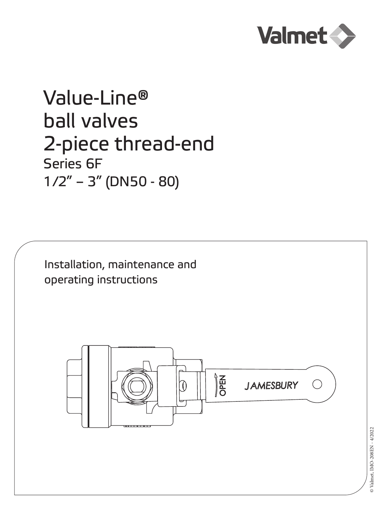

# Value-Line® ball valves 2-piece thread-end Series 6F  $1/2" - 3"$  (DN50 - 80)

Installation, maintenance and operating instructions



© Valmet, IMO-208EN - 4/2022 © Valmet, IMO-208EN - 4/2022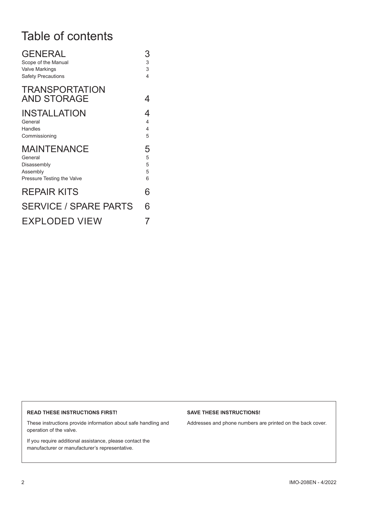# Table of contents

| <b>GENERAL</b><br>Scope of the Manual<br><b>Valve Markings</b><br><b>Safety Precautions</b> | 3<br>3<br>3<br>4                                     |
|---------------------------------------------------------------------------------------------|------------------------------------------------------|
| <b>TRANSPORTATION</b><br><b>AND STORAGE</b>                                                 | 4                                                    |
| <b>INSTALLATION</b><br>General<br>Handles<br>Commissioning                                  | 4<br>$\overline{4}$<br>$\overline{\mathcal{L}}$<br>5 |
| <b>MAINTENANCE</b><br>General<br>Disassembly<br>Assembly<br>Pressure Testing the Valve      | 5<br>5<br>5<br>5<br>6                                |
| <b>REPAIR KITS</b>                                                                          | 6                                                    |
| <b>SERVICE / SPARE PARTS</b>                                                                | 6                                                    |
| EXPLODED VIEW                                                                               |                                                      |

#### **READ THESE INSTRUCTIONS FIRST!**

These instructions provide information about safe handling and operation of the valve.

If you require additional assistance, please contact the manufacturer or manufacturer's representative.

#### **SAVE THESE INSTRUCTIONS!**

Addresses and phone numbers are printed on the back cover.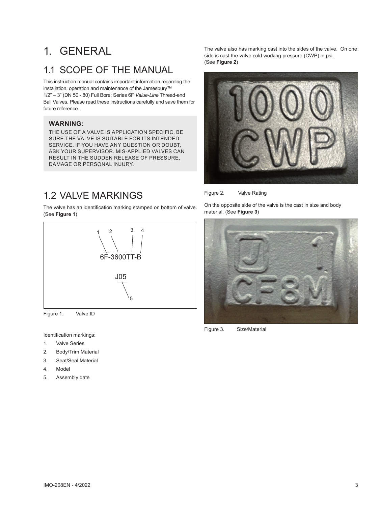# 1. GENERAL

### 11 SCOPE OF THE MANUAL

This instruction manual contains important information regarding the installation, operation and maintenance of the Jamesbury™ 1/2" – 3" (DN 50 - 80) Full Bore; Series 6F *Value-Line* Thread-end Ball Valves. Please read these instructions carefully and save them for future reference.

#### **WARNING:**

THE USE OF A VALVE IS APPLICATION SPECIFIC. BE SURE THE VALVE IS SUITABLE FOR ITS INTENDED SERVICE. IF YOU HAVE ANY QUESTION OR DOUBT, ASK YOUR SUPERVISOR. MIS-APPLIED VALVES CAN RESULT IN THE SUDDEN RELEASE OF PRESSURE, DAMAGE OR PERSONAL INJURY.

### 1.2 VALVE MARKINGS

The valve has an identification marking stamped on bottom of valve. (See **Figure 1**)



Figure 1. Valve ID

Identification markings:

- 1. Valve Series
- 2. Body/Trim Material
- 3. Seat/Seal Material
- 4. Model
- 5. Assembly date

The valve also has marking cast into the sides of the valve. On one side is cast the valve cold working pressure (CWP) in psi. (See **Figure 2**)



Figure 2. Valve Rating

On the opposite side of the valve is the cast in size and body material. (See **Figure 3**)



Figure 3. Size/Material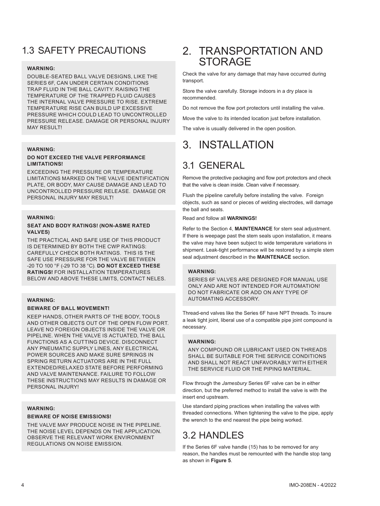# 1.3 SAFETY PRECAUTIONS

#### **WARNING:**

DOUBLE-SEATED BALL VALVE DESIGNS, LIKE THE SERIES 6F, CAN UNDER CERTAIN CONDITIONS TRAP FLUID IN THE BALL CAVITY. RAISING THE TEMPERATURE OF THE TRAPPED FLUID CAUSES THE INTERNAL VALVE PRESSURE TO RISE. EXTREME TEMPERATURE RISE CAN BUILD UP EXCESSIVE PRESSURE WHICH COULD LEAD TO UNCONTROLLED PRESSURE RELEASE. DAMAGE OR PERSONAL INJURY MAY RESULT!

#### **WARNING:**

#### **DO NOT EXCEED THE VALVE PERFORMANCE LIMITATIONS!**

EXCEEDING THE PRESSURE OR TEMPERATURE LIMITATIONS MARKED ON THE VALVE IDENTIFICATION PLATE, OR BODY, MAY CAUSE DAMAGE AND LEAD TO UNCONTROLLED PRESSURE RELEASE. DAMAGE OR PERSONAL INJURY MAY RESULT!

#### **WARNING:**

#### **SEAT AND BODY RATINGS! (NON-ASME RATED VALVES)**

THE PRACTICAL AND SAFE USE OF THIS PRODUCT IS DETERMINED BY BOTH THE CWP RATINGS: CAREFULLY CHECK BOTH RATINGS. THIS IS THE SAFE USE PRESSURE FOR THE VALVE BETWEEN -20 TO 100 °F (-29 TO 38 °C). **DO NOT EXCEED THESE RATINGS!** FOR INSTALLATION TEMPERATURES BELOW AND ABOVE THESE LIMITS, CONTACT NELES.

#### **WARNING:**

#### **BEWARE OF BALL MOVEMENT!**

KEEP HANDS, OTHER PARTS OF THE BODY, TOOLS AND OTHER OBJECTS OUT OF THE OPEN FLOW PORT. LEAVE NO FOREIGN OBJECTS INSIDE THE VALVE OR PIPELINE. WHEN THE VALVE IS ACTUATED, THE BALL FUNCTIONS AS A CUTTING DEVICE. DISCONNECT ANY PNEUMATIC SUPPLY LINES, ANY ELECTRICAL POWER SOURCES AND MAKE SURE SPRINGS IN SPRING RETURN ACTUATORS ARE IN THE FULL EXTENDED/RELAXED STATE BEFORE PERFORMING AND VALVE MAINTENANCE. FAILURE TO FOLLOW THESE INSTRUCTIONS MAY RESULTS IN DAMAGE OR PERSONAL INJURY!

#### **WARNING:**

#### **BEWARE OF NOISE EMISSIONS!**

THE VALVE MAY PRODUCE NOISE IN THE PIPELINE. THE NOISE LEVEL DEPENDS ON THE APPLICATION. OBSERVE THE RELEVANT WORK ENVIRONMENT REGULATIONS ON NOISE EMISSION.

### 2. TRANSPORTATION AND **STORAGE**

Check the valve for any damage that may have occurred during transport.

Store the valve carefully. Storage indoors in a dry place is recommended.

Do not remove the flow port protectors until installing the valve.

Move the valve to its intended location just before installation.

The valve is usually delivered in the open position.

# 3. INSTALLATION

### 3.1 GENERAL

Remove the protective packaging and flow port protectors and check that the valve is clean inside. Clean valve if necessary.

Flush the pipeline carefully before installing the valve. Foreign objects, such as sand or pieces of welding electrodes, will damage the ball and seats.

Read and follow all **WARNINGS!**

Refer to the Section 4, **MAINTENANCE** for stem seal adjustment. If there is weepage past the stem seals upon installation, it means the valve may have been subject to wide temperature variations in shipment. Leak-tight performance will be restored by a simple stem seal adjustment described in the **MAINTENACE** section.

#### **WARNING:**

SERIES 6F VALVES ARE DESIGNED FOR MANUAL USE ONLY AND ARE NOT INTENDED FOR AUTOMATION! DO NOT FABRICATE OR ADD ON ANY TYPE OF AUTOMATING ACCESSORY.

Thread-end valves like the Series 6F have NPT threads. To insure a leak tight joint, liberal use of a compatible pipe joint compound is necessary.

#### **WARNING:**

ANY COMPOUND OR LUBRICANT USED ON THREADS SHALL BE SUITABLE FOR THE SERVICE CONDITIONS AND SHALL NOT REACT UNFAVORABLY WITH EITHER THE SERVICE FLUID OR THE PIPING MATERIAL.

Flow through the *Jamesbury* Series 6F valve can be in either direction, but the preferred method to install the valve is with the insert end upstream.

Use standard piping practices when installing the valves with threaded connections. When tightening the valve to the pipe, apply the wrench to the end nearest the pipe being worked.

## 3.2 HANDLES

If the Series 6F valve handle (15) has to be removed for any reason, the handles must be remounted with the handle stop tang as shown in **Figure 5**.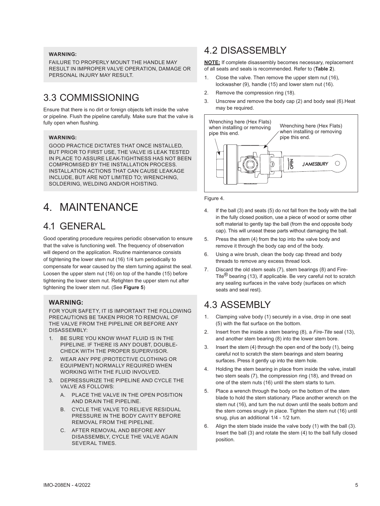#### **WARNING:**

FAILURE TO PROPERLY MOUNT THE HANDLE MAY RESULT IN IMPROPER VALVE OPERATION, DAMAGE OR PERSONAL INJURY MAY RESULT.

### 3.3 COMMISSIONING

Ensure that there is no dirt or foreign objects left inside the valve or pipeline. Flush the pipeline carefully. Make sure that the valve is fully open when flushing.

#### **WARNING:**

GOOD PRACTICE DICTATES THAT ONCE INSTALLED, BUT PRIOR TO FIRST USE, THE VALVE IS LEAK TESTED IN PLACE TO ASSURE LEAK-TIGHTNESS HAS NOT BEEN COMPROMISED BY THE INSTALLATION PROCESS. INSTALLATION ACTIONS THAT CAN CAUSE LEAKAGE INCLUDE, BUT ARE NOT LIMITED TO; WRENCHING, SOLDERING, WELDING AND/OR HOISTING.

# 4. MAINTENANCE

### 4.1 GENERAL

Good operating procedure requires periodic observation to ensure that the valve is functioning well. The frequency of observation will depend on the application. Routine maintenance consists of tightening the lower stem nut (16) 1/4 turn periodically to compensate for wear caused by the stem turning against the seal. Loosen the upper stem nut (16) on top of the handle (15) before tightening the lower stem nut. Retighten the upper stem nut after tightening the lower stem nut. (See **Figure 5**)

#### **WARNING:**

FOR YOUR SAFETY, IT IS IMPORTANT THE FOLLOWING PRECAUTIONS BE TAKEN PRIOR TO REMOVAL OF THE VALVE FROM THE PIPELINE OR BEFORE ANY DISASSEMBLY:

- 1. BE SURE YOU KNOW WHAT FLUID IS IN THE PIPELINE. IF THERE IS ANY DOUBT, DOUBLE-CHECK WITH THE PROPER SUPERVISOR.
- 2. WEAR ANY PPE (PROTECTIVE CLOTHING OR EQUIPMENT) NORMALLY REQUIRED WHEN WORKING WITH THE FLUID INVOLVED.
- 3. DEPRESSURIZE THE PIPELINE AND CYCLE THE VALVE AS FOLLOWS:
	- A. PLACE THE VALVE IN THE OPEN POSITION AND DRAIN THE PIPELINE.
	- B. CYCLE THE VALVE TO RELIEVE RESIDUAL PRESSURE IN THE BODY CAVITY BEFORE REMOVAL FROM THE PIPELINE.
	- C. AFTER REMOVAL AND BEFORE ANY DISASSEMBLY, CYCLE THE VALVE AGAIN SEVERAL TIMES.

### 4.2 DISASSEMBLY

**NOTE:** If complete disassembly becomes necessary, replacement of all seats and seals is recommended. Refer to (**Table 2**).

- 1. Close the valve. Then remove the upper stem nut (16), lockwasher (9), handle (15) and lower stem nut (16).
- 2. Remove the compression ring (18).
- 3. Unscrew and remove the body cap (2) and body seal (6).Heat may be required.



Figure 4.

- 4. If the ball (3) and seats (5) do not fall from the body with the ball in the fully closed position, use a piece of wood or some other soft material to gently tap the ball (from the end opposite body cap). This will unseat these parts without damaging the ball.
- 5. Press the stem (4) from the top into the valve body and remove it through the body cap end of the body.
- 6. Using a wire brush, clean the body cap thread and body threads to remove any excess thread lock.
- 7. Discard the old stem seals (7), stem bearings (8) and Fire-Tite® bearing (13), if applicable. Be very careful not to scratch any sealing surfaces in the valve body (surfaces on which seats and seal rest).

### 4.3 ASSEMBLY

- 1. Clamping valve body (1) securely in a vise, drop in one seat (5) with the flat surface on the bottom.
- 2. Insert from the inside a stem bearing (8), a *Fire-Tite* seal (13), and another stem bearing (8) into the lower stem bore.
- 3. Insert the stem (4) through the open end of the body (1), being careful not to scratch the stem bearings and stem bearing surfaces. Press it gently up into the stem hole.
- 4. Holding the stem bearing in place from inside the valve, install two stem seals (7), the compression ring (18), and thread on one of the stem nuts (16) until the stem starts to turn.
- 5. Place a wrench through the body on the bottom of the stem blade to hold the stem stationary. Place another wrench on the stem nut (16), and turn the nut down until the seals bottom and the stem comes snugly in place. Tighten the stem nut (16) until snug, plus an additional 1/4 - 1/2 turn.
- 6. Align the stem blade inside the valve body (1) with the ball (3). Insert the ball (3) and rotate the stem (4) to the ball fully closed position.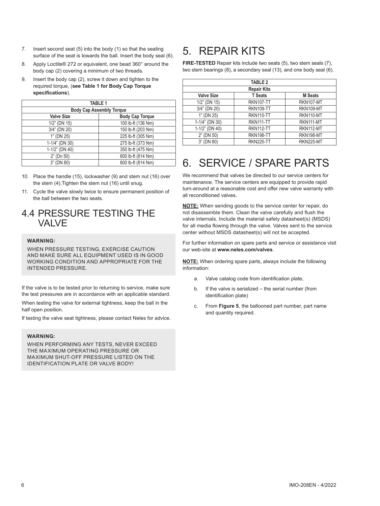- 7. Insert second seat (5) into the body (1) so that the sealing surface of the seat is towards the ball. Insert the body seal (6).
- 8. Apply Loctite® 272 or equivalent, one bead 360° around the body cap (2) covering a minimum of two threads.
- 9. Insert the body cap (2), screw it down and tighten to the required torque, (**see Table 1 for Body Cap Torque specifications**).

| <b>TABLE 1</b>                  |                        |  |  |
|---------------------------------|------------------------|--|--|
| <b>Body Cap Assembly Torque</b> |                        |  |  |
| <b>Valve Size</b>               | <b>Body Cap Torque</b> |  |  |
| $1/2$ " (DN 15)                 | 100 lb-ft (136 Nm)     |  |  |
| 3/4" (DN 20)                    | 150 lb-ft (203 Nm)     |  |  |
| 1" (DN 25)                      | 225 lb-ft (305 Nm)     |  |  |
| 1-1/4" (DN 30)                  | 275 lb-ft (373 Nm)     |  |  |
| 1-1/2" (DN 40)                  | 350 lb-ft (475 Nm)     |  |  |
| 2" (Dn 50)                      | 600 lb-ft (814 Nm)     |  |  |
| 3" (DN 80)                      | 600 lb-ft (814 Nm)     |  |  |

- 10. Place the handle (15), lockwasher (9) and stem nut (16) over the stem (4).Tighten the stem nut (16) until snug.
- 11. Cycle the valve slowly twice to ensure permanent position of the ball between the two seats.

### 4.4 PRESSURE TESTING THE VALVE

#### **WARNING:**

WHEN PRESSURE TESTING, EXERCISE CAUTION AND MAKE SURE ALL EQUIPMENT USED IS IN GOOD WORKING CONDITION AND APPROPRIATE FOR THE INTENDED PRESSURE.

If the valve is to be tested prior to returning to service, make sure the test pressures are in accordance with an applicable standard.

When testing the valve for external tightness, keep the ball in the half open position.

If testing the valve seat tightness, please contact Neles for advice.

#### **WARNING:**

WHEN PERFORMING ANY TESTS, NEVER EXCEED THE MAXIMUM OPERATING PRESSURE OR MAXIMUM SHUT-OFF PRESSURE LISTED ON THE IDENTIFICATION PLATE OR VALVE BODY!

# 5. REPAIR KITS

**FIRE-TESTED** Repair kits include two seats (5), two stem seals (7), two stem bearings (8), a secondary seal (13), and one body seal (6).

| <b>TABLE 2</b>     |                  |                  |  |
|--------------------|------------------|------------------|--|
| <b>Repair Kits</b> |                  |                  |  |
| <b>Valve Size</b>  | <b>T</b> Seats   | <b>M</b> Seats   |  |
| $1/2$ " (DN 15)    | <b>RKN107-TT</b> | RKN107-MT        |  |
| 3/4" (DN 20)       | <b>RKN109-TT</b> | RKN109-MT        |  |
| 1" (DN 25)         | <b>RKN110-TT</b> | RKN110-MT        |  |
| 1-1/4" (DN 30)     | RKN111-TT        | RKN111-MT        |  |
| $1-1/2$ " (DN 40)  | <b>RKN112-TT</b> | RKN112-MT        |  |
| $2"$ (DN 50)       | RKN198-TT        | RKN198-MT        |  |
| 3" (DN 80)         | <b>RKN225-TT</b> | <b>RKN225-MT</b> |  |

# 6. SERVICE / SPARE PARTS

We recommend that valves be directed to our service centers for maintenance. The service centers are equipped to provide rapid turn-around at a reasonable cost and offer new valve warranty with all reconditioned valves.

**NOTE:** When sending goods to the service center for repair, do not disassemble them. Clean the valve carefully and flush the valve internals. Include the material safety datasheet(s) (MSDS) for all media flowing through the valve. Valves sent to the service center without MSDS datasheet(s) will not be accepted.

For further information on spare parts and service or assistance visit our web-site at **www.neles.com/valves**.

**NOTE:** When ordering spare parts, always include the following information:

- a. Valve catalog code from identification plate,
- b. If the valve is serialized the serial number (from identification plate)
- c. From **Figure 5**, the ballooned part number, part name and quantity required.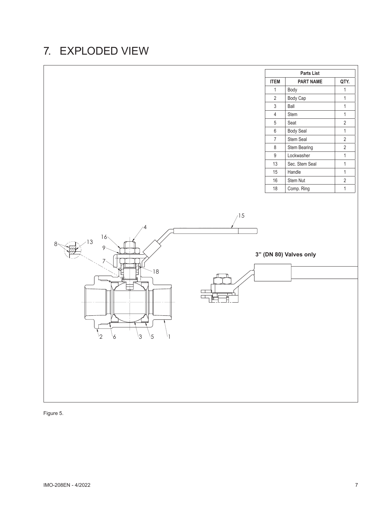# 7. EXPLODED VIEW



Figure 5.